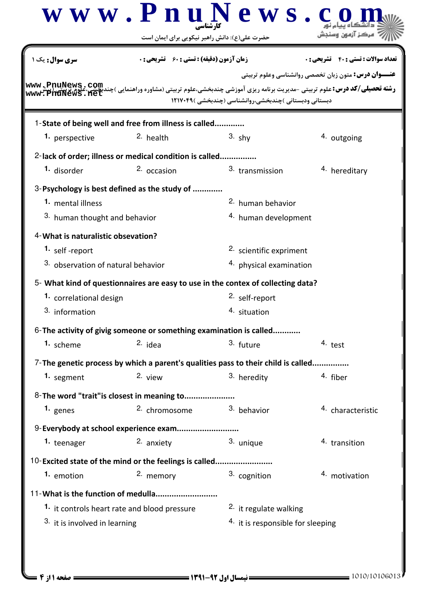|                                    | حضرت علی(ع): دانش راهبر نیکویی برای ایمان است                                     |                                                       |                                                             |
|------------------------------------|-----------------------------------------------------------------------------------|-------------------------------------------------------|-------------------------------------------------------------|
| <b>سری سوال :</b> یک ۱             | <b>زمان آزمون (دقیقه) : تستی : 60 ٪ تشریحی : 0</b>                                |                                                       | <b>تعداد سوالات : تستي : 40 ٪ تشريحي : 0</b>                |
| www. PnuNews.ne                    |                                                                                   | دبستانی ودبستانی )چندبخشی،روانشناسی (چندبخشی )۱۲۱۷۰۴۹ | <b>عنـــوان درس:</b> متون زبان تخصصي روانشناسي وعلوم تربيتي |
|                                    | 1-State of being well and free from illness is called                             |                                                       |                                                             |
| 1. perspective                     | 2. health                                                                         | $3.$ shy                                              | 4. outgoing                                                 |
|                                    | 2-lack of order; illness or medical condition is called                           |                                                       |                                                             |
| 1. disorder                        | 2. occasion                                                                       | 3. transmission                                       | 4. hereditary                                               |
|                                    | 3-Psychology is best defined as the study of                                      |                                                       |                                                             |
| 1. mental illness                  |                                                                                   | <sup>2.</sup> human behavior                          |                                                             |
| 3. human thought and behavior      |                                                                                   | 4. human development                                  |                                                             |
| 4-What is naturalistic obsevation? |                                                                                   |                                                       |                                                             |
| 1. self-report                     |                                                                                   | <sup>2.</sup> scientific expriment                    |                                                             |
| 3. observation of natural behavior |                                                                                   | 4. physical examination                               |                                                             |
|                                    | 5- What kind of questionnaires are easy to use in the contex of collecting data?  |                                                       |                                                             |
| 1. correlational design            |                                                                                   | <sup>2.</sup> self-report                             |                                                             |
| 3. information                     |                                                                                   | 4. situation                                          |                                                             |
|                                    | 6-The activity of givig someone or something examination is called                |                                                       |                                                             |
| 1. scheme                          | $2.$ idea                                                                         | 3. future                                             | 4. test                                                     |
|                                    | 7-The genetic process by which a parent's qualities pass to their child is called |                                                       |                                                             |
| 1. segment                         | 2. view                                                                           | 3. heredity                                           | 4. fiber                                                    |
|                                    | 8-The word "trait" is closest in meaning to                                       |                                                       |                                                             |
| 1. $genes$                         | 2. chromosome                                                                     | 3. behavior                                           | 4. characteristic                                           |
|                                    | 9-Everybody at school experience exam                                             |                                                       |                                                             |
| 1. teenager                        | 2. anxiety                                                                        | 3. unique                                             | 4. transition                                               |
|                                    | 10-Excited state of the mind or the feelings is called                            |                                                       |                                                             |
| 1. emotion                         | 2. memory                                                                         | 3. cognition                                          | 4. motivation                                               |
|                                    | 11-What is the function of medulla                                                |                                                       |                                                             |
|                                    | <sup>1.</sup> it controls heart rate and blood pressure                           | <sup>2.</sup> it regulate walking                     |                                                             |
| 3. it is involved in learning      |                                                                                   | 4. it is responsible for sleeping                     |                                                             |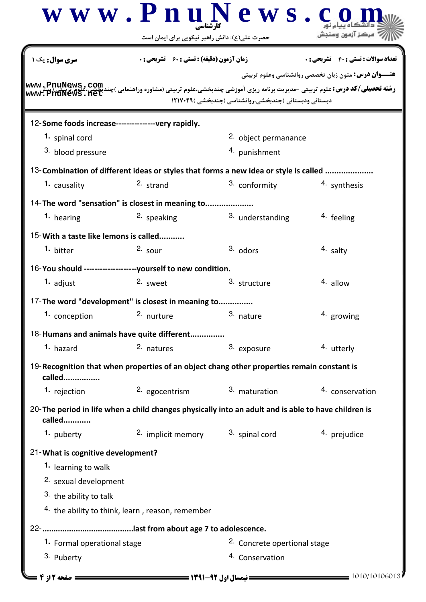|                                                     | www.PnuNews.c                                                                                       |                                                      |                                                             |
|-----------------------------------------------------|-----------------------------------------------------------------------------------------------------|------------------------------------------------------|-------------------------------------------------------------|
|                                                     | حضرت علی(ع): دانش راهبر نیکویی برای ایمان است                                                       |                                                      |                                                             |
| <b>سری سوال :</b> یک ۱                              | <b>زمان آزمون (دقیقه) : تستی : 60 ٪ تشریحی : 0</b>                                                  |                                                      | <b>تعداد سوالات : تستي : 40 ٪ تشريحي : 0</b>                |
|                                                     |                                                                                                     |                                                      | <b>عنـــوان درس:</b> متون زبان تخصصي روانشناسي وعلوم تربيتي |
| www.PnuNews.net                                     |                                                                                                     | دبستانی ودبستانی )چندبخشی،روانشناسی (چندبخشی )۲۱۷۰۴۹ |                                                             |
| 12-Some foods increase----------------very rapidly. |                                                                                                     |                                                      |                                                             |
| 1. spinal cord                                      |                                                                                                     | <sup>2.</sup> object permanance                      |                                                             |
| 3. blood pressure                                   |                                                                                                     | 4. punishment                                        |                                                             |
|                                                     | 13-Combination of different ideas or styles that forms a new idea or style is called                |                                                      |                                                             |
| 1. causality                                        | 2. strand                                                                                           | 3. conformity                                        | 4. synthesis                                                |
|                                                     | 14-The word "sensation" is closest in meaning to                                                    |                                                      |                                                             |
| 1. hearing                                          | <sup>2.</sup> speaking                                                                              | 3. understanding                                     | <sup>4</sup> feeling                                        |
| 15-With a taste like lemons is called               |                                                                                                     |                                                      |                                                             |
| 1. bitter                                           | $2.$ sour                                                                                           | $3.$ odors                                           | 4. salty                                                    |
|                                                     |                                                                                                     |                                                      |                                                             |
| 1. adjust                                           | 16-You should --------------------yourself to new condition.<br>2. sweet                            | 3. structure                                         | $4.$ allow                                                  |
|                                                     |                                                                                                     |                                                      |                                                             |
|                                                     | 17-The word "development" is closest in meaning to                                                  |                                                      |                                                             |
| 1. conception                                       | 2. nurture                                                                                          | 3. nature                                            | 4. growing                                                  |
|                                                     | 18-Humans and animals have quite different                                                          |                                                      |                                                             |
| 1. hazard                                           | 2. natures                                                                                          | 3. exposure                                          | 4. utterly                                                  |
| called                                              | 19-Recognition that when properties of an object chang other properties remain constant is          |                                                      |                                                             |
| 1. rejection                                        | 2. egocentrism                                                                                      | 3. maturation                                        | 4. conservation                                             |
| called                                              | 20-The period in life when a child changes physically into an adult and is able to have children is |                                                      |                                                             |
| 1. puberty                                          | 2. implicit memory                                                                                  | 3. spinal cord                                       | 4. prejudice                                                |
| 21-What is cognitive development?                   |                                                                                                     |                                                      |                                                             |
| 1. learning to walk                                 |                                                                                                     |                                                      |                                                             |
| 2. sexual development                               |                                                                                                     |                                                      |                                                             |
| <sup>3</sup> the ability to talk                    |                                                                                                     |                                                      |                                                             |
|                                                     | 4. the ability to think, learn, reason, remember                                                    |                                                      |                                                             |
|                                                     |                                                                                                     |                                                      |                                                             |
| 1. Formal operational stage                         |                                                                                                     | <sup>2</sup> . Concrete opertional stage             |                                                             |
| 3. Puberty                                          |                                                                                                     | 4. Conservation                                      |                                                             |
| صفحه 12: 4                                          |                                                                                                     |                                                      | 1010/10106013                                               |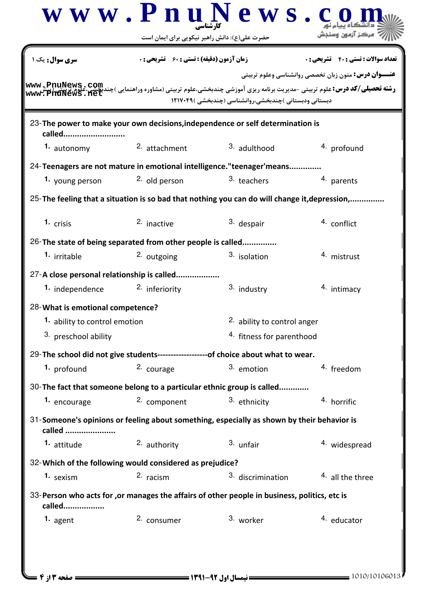|                                                                                          |                                                             | حضرت علی(ع): دانش راهبر نیکویی برای ایمان است                                                                                                                                                            |                                                             |  |  |
|------------------------------------------------------------------------------------------|-------------------------------------------------------------|----------------------------------------------------------------------------------------------------------------------------------------------------------------------------------------------------------|-------------------------------------------------------------|--|--|
| <b>سری سوال :</b> یک                                                                     | <b>زمان آزمون (دقیقه) : تستی : 60 ٪ تشریحی : 0</b>          |                                                                                                                                                                                                          | <b>تعداد سوالات : تستي : 40 - تشريحي : 0</b>                |  |  |
| www.PnuNews.net                                                                          |                                                             | <b>رشته تحصیلی/کد درس:</b> علوم تربیتی -مدیریت برنامه ریزی آموزشی چندبخشی،علوم تربیتی (مشاوره وراهنمایی )چندبکمیی،علوم کر <b>یپ</b> تی (پیش<br>.<br>دبستانی ودبستانی )چندبخشی،روانشناسی (چندبخشی )۲۱۷۰۴۹ | <b>عنـــوان درس:</b> متون زبان تخصصي روانشناسي وعلوم تربيتي |  |  |
| 23-The power to make your own decisions, independence or self determination is<br>called |                                                             |                                                                                                                                                                                                          |                                                             |  |  |
| 1. autonomy                                                                              | 2. attachment                                               | 3. adulthood                                                                                                                                                                                             | 4. profound                                                 |  |  |
|                                                                                          |                                                             | 24-Teenagers are not mature in emotional intelligence."teenager'means                                                                                                                                    |                                                             |  |  |
| 1. young person                                                                          | 2. old person                                               | 3. teachers                                                                                                                                                                                              | 4. parents                                                  |  |  |
|                                                                                          |                                                             | 25-The feeling that a situation is so bad that nothing you can do will change it, depression,                                                                                                            |                                                             |  |  |
| 1. crisis                                                                                | 2. inactive                                                 | 3. despair                                                                                                                                                                                               | 4. conflict                                                 |  |  |
|                                                                                          | 26-The state of being separated from other people is called |                                                                                                                                                                                                          |                                                             |  |  |
| 1. irritable                                                                             | <sup>2.</sup> outgoing                                      | <sup>3</sup> isolation                                                                                                                                                                                   | 4. mistrust                                                 |  |  |
|                                                                                          | 27-A close personal relationship is called                  |                                                                                                                                                                                                          |                                                             |  |  |
| 1. independence                                                                          | <sup>2.</sup> inferiority                                   | 3. industry                                                                                                                                                                                              | 4. intimacy                                                 |  |  |
| 28-What is emotional competence?                                                         |                                                             |                                                                                                                                                                                                          |                                                             |  |  |
| 1. ability to control emotion                                                            |                                                             | <sup>2</sup> ability to control anger                                                                                                                                                                    |                                                             |  |  |
| 3. preschool ability                                                                     |                                                             | <sup>4.</sup> fitness for parenthood                                                                                                                                                                     |                                                             |  |  |
|                                                                                          |                                                             | 29-The school did not give students-------------------of choice about what to wear.                                                                                                                      |                                                             |  |  |
| 1. profound                                                                              | 2. courage                                                  | 3. emotion                                                                                                                                                                                               | 4. freedom                                                  |  |  |
|                                                                                          |                                                             | 30-The fact that someone belong to a particular ethnic group is called                                                                                                                                   |                                                             |  |  |
| 1. encourage                                                                             | 2. component                                                | 3. ethnicity                                                                                                                                                                                             | 4. horrific                                                 |  |  |
| called                                                                                   |                                                             | 31-Someone's opinions or feeling about something, especially as shown by their behavior is                                                                                                               |                                                             |  |  |
| 1. attitude                                                                              | 2. authority                                                | 3. unfair                                                                                                                                                                                                | 4. widespread                                               |  |  |
|                                                                                          | 32-Which of the following would considered as prejudice?    |                                                                                                                                                                                                          |                                                             |  |  |
| 1. sexism                                                                                | 2. racism                                                   | 3. discrimination                                                                                                                                                                                        | 4. all the three                                            |  |  |
|                                                                                          |                                                             | 33-Person who acts for , or manages the affairs of other people in business, politics, etc is                                                                                                            |                                                             |  |  |
| called                                                                                   |                                                             |                                                                                                                                                                                                          |                                                             |  |  |